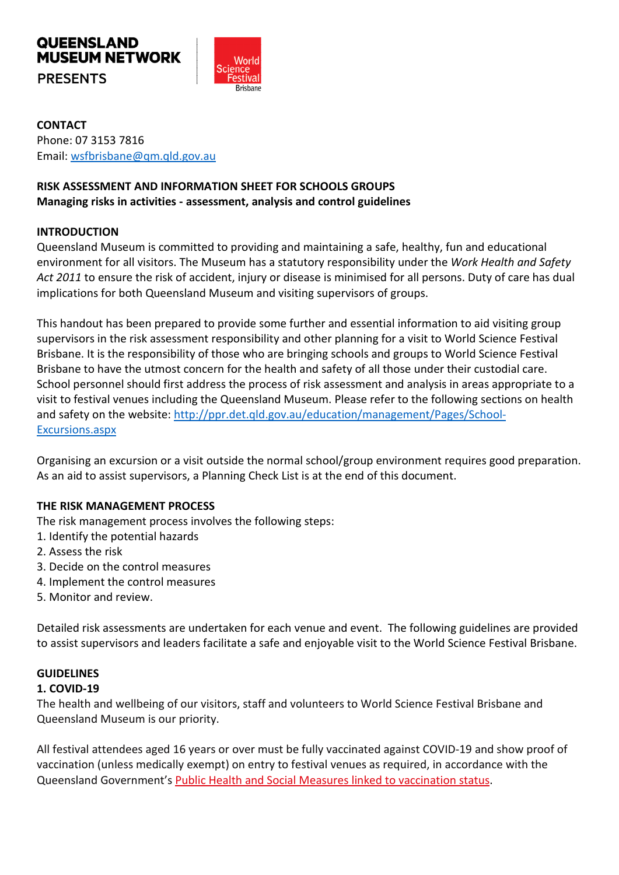

**CONTACT**  Phone: 07 3153 7816 Email: [wsfbrisbane@qm.qld.gov.au](mailto:wsfbrisbane@qm.qld.gov.au) 

## **RISK ASSESSMENT AND INFORMATION SHEET FOR SCHOOLS GROUPS Managing risks in activities - assessment, analysis and control guidelines**

### **INTRODUCTION**

Queensland Museum is committed to providing and maintaining a safe, healthy, fun and educational environment for all visitors. The Museum has a statutory responsibility under the *Work Health and Safety Act 2011* to ensure the risk of accident, injury or disease is minimised for all persons. Duty of care has dual implications for both Queensland Museum and visiting supervisors of groups.

This handout has been prepared to provide some further and essential information to aid visiting group supervisors in the risk assessment responsibility and other planning for a visit to World Science Festival Brisbane. It is the responsibility of those who are bringing schools and groups to World Science Festival Brisbane to have the utmost concern for the health and safety of all those under their custodial care. School personnel should first address the process of risk assessment and analysis in areas appropriate to a visit to festival venues including the Queensland Museum. Please refer to the following sections on health and safety on the website: [http://ppr.det.qld.gov.au/education/management/Pages/School-](http://ppr.det.qld.gov.au/education/management/Pages/School-Excursions.aspx)[Excursions.aspx](http://ppr.det.qld.gov.au/education/management/Pages/School-Excursions.aspx)

Organising an excursion or a visit outside the normal school/group environment requires good preparation. As an aid to assist supervisors, a Planning Check List is at the end of this document.

### **THE RISK MANAGEMENT PROCESS**

The risk management process involves the following steps:

- 1. Identify the potential hazards
- 2. Assess the risk
- 3. Decide on the control measures
- 4. Implement the control measures
- 5. Monitor and review.

Detailed risk assessments are undertaken for each venue and event. The following guidelines are provided to assist supervisors and leaders facilitate a safe and enjoyable visit to the World Science Festival Brisbane.

### **GUIDELINES**

#### **1. COVID-19**

The health and wellbeing of our visitors, staff and volunteers to World Science Festival Brisbane and Queensland Museum is our priority.

All festival attendees aged 16 years or over must be fully vaccinated against COVID-19 and show proof of vaccination (unless medically exempt) on entry to festival venues as required, in accordance with the Queensland Government's [Public Health and Social Measures linked to vaccination status.](https://www.covid19.qld.gov.au/government-actions/queenslands-covid19-vaccine-plan/queenslands-public-health-measures-linked-to-vaccination-status)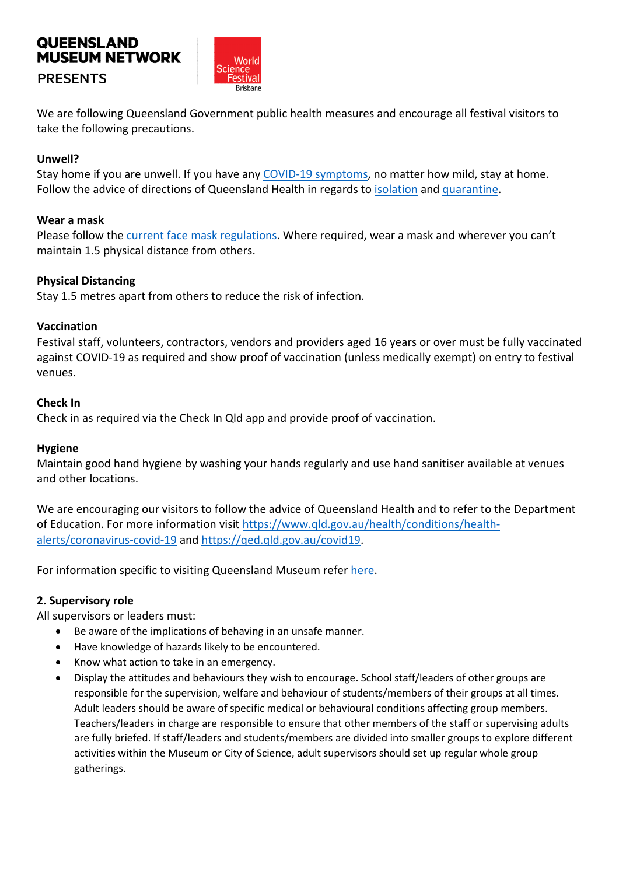

We are following Queensland Government public health measures and encourage all festival visitors to take the following precautions.

### **Unwell?**

Stay home if you are unwell. If you have any [COVID-19 symptoms,](https://www.qld.gov.au/health/conditions/health-alerts/coronavirus-covid-19/stay-informed/symptoms-of-novel-coronavirus-covid-19-comparison) no matter how mild, stay at home. Follow the advice of directions of Queensland Health in regards to [isolation](https://www.qld.gov.au/health/conditions/health-alerts/coronavirus-covid-19/current-status/public-health-directions/confirmed-cases-and-close-contacts/isolation-covid19-diagnosed-case) and [quarantine.](https://www.qld.gov.au/health/conditions/health-alerts/coronavirus-covid-19/current-status/public-health-directions/confirmed-cases-and-close-contacts/close-contacts)

### **Wear a mask**

Please follow th[e current face mask regulations.](https://www.qld.gov.au/health/conditions/health-alerts/coronavirus-covid-19/current-status/public-health-directions/mandatory-masks) Where required, wear a mask and wherever you can't maintain 1.5 physical distance from others.

### **Physical Distancing**

Stay 1.5 metres apart from others to reduce the risk of infection.

### **Vaccination**

Festival staff, volunteers, contractors, vendors and providers aged 16 years or over must be fully vaccinated against COVID-19 as required and show proof of vaccination (unless medically exempt) on entry to festival venues.

#### **Check In**

Check in as required via the Check In Qld app and provide proof of vaccination.

#### **Hygiene**

Maintain good hand hygiene by washing your hands regularly and use hand sanitiser available at venues and other locations.

We are encouraging our visitors to follow the advice of Queensland Health and to refer to the Department of Education. For more information visit [https://www.qld.gov.au/health/conditions/health](https://www.qld.gov.au/health/conditions/health-alerts/coronavirus-covid-19)[alerts/coronavirus-covid-19](https://www.qld.gov.au/health/conditions/health-alerts/coronavirus-covid-19) and [https://qed.qld.gov.au/covid19.](https://qed.qld.gov.au/covid19)

For information specific to visiting Queensland Museum refer [here.](https://www.qm.qld.gov.au/Visit+Us/Opening+Hours+and+Prices#.Xtl8IkUzY2w)

### **2. Supervisory role**

All supervisors or leaders must:

- Be aware of the implications of behaving in an unsafe manner.
- Have knowledge of hazards likely to be encountered.
- Know what action to take in an emergency.
- Display the attitudes and behaviours they wish to encourage. School staff/leaders of other groups are responsible for the supervision, welfare and behaviour of students/members of their groups at all times. Adult leaders should be aware of specific medical or behavioural conditions affecting group members. Teachers/leaders in charge are responsible to ensure that other members of the staff or supervising adults are fully briefed. If staff/leaders and students/members are divided into smaller groups to explore different activities within the Museum or City of Science, adult supervisors should set up regular whole group gatherings.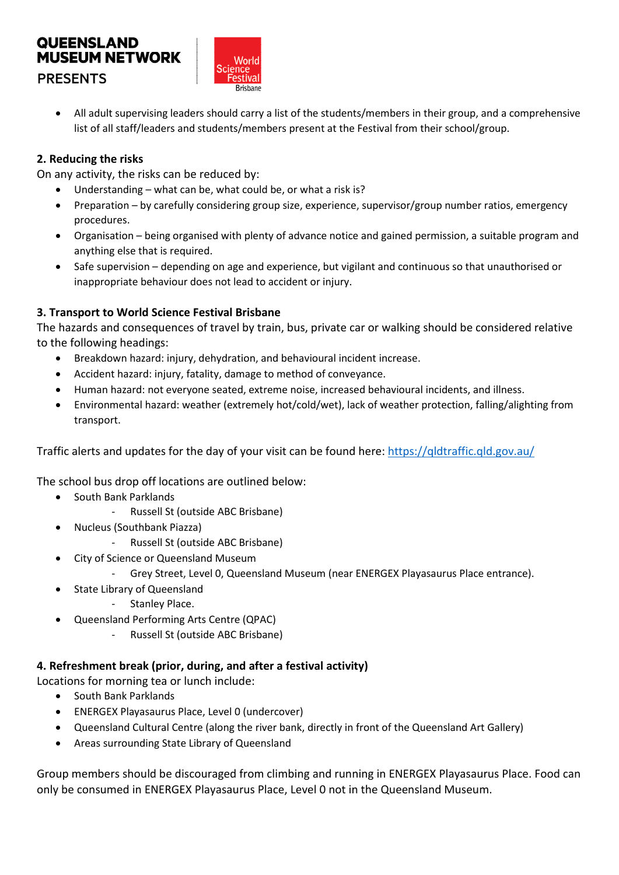

 All adult supervising leaders should carry a list of the students/members in their group, and a comprehensive list of all staff/leaders and students/members present at the Festival from their school/group.

## **2. Reducing the risks**

On any activity, the risks can be reduced by:

- Understanding what can be, what could be, or what a risk is?
- Preparation by carefully considering group size, experience, supervisor/group number ratios, emergency procedures.
- Organisation being organised with plenty of advance notice and gained permission, a suitable program and anything else that is required.
- Safe supervision depending on age and experience, but vigilant and continuous so that unauthorised or inappropriate behaviour does not lead to accident or injury.

## **3. Transport to World Science Festival Brisbane**

The hazards and consequences of travel by train, bus, private car or walking should be considered relative to the following headings:

- Breakdown hazard: injury, dehydration, and behavioural incident increase.
- Accident hazard: injury, fatality, damage to method of conveyance.
- Human hazard: not everyone seated, extreme noise, increased behavioural incidents, and illness.
- Environmental hazard: weather (extremely hot/cold/wet), lack of weather protection, falling/alighting from transport.

Traffic alerts and updates for the day of your visit can be found here:<https://qldtraffic.qld.gov.au/>

The school bus drop off locations are outlined below:

- **South Bank Parklands** 
	- Russell St (outside ABC Brisbane)
- Nucleus (Southbank Piazza)
	- Russell St (outside ABC Brisbane)
- City of Science or Queensland Museum
	- Grey Street, Level 0, Queensland Museum (near ENERGEX Playasaurus Place entrance).
- State Library of Queensland
	- Stanley Place.
- Queensland Performing Arts Centre (QPAC)
	- Russell St (outside ABC Brisbane)

### **4. Refreshment break (prior, during, and after a festival activity)**

Locations for morning tea or lunch include:

- South Bank Parklands
- ENERGEX Playasaurus Place, Level 0 (undercover)
- Queensland Cultural Centre (along the river bank, directly in front of the Queensland Art Gallery)
- Areas surrounding State Library of Queensland

Group members should be discouraged from climbing and running in ENERGEX Playasaurus Place. Food can only be consumed in ENERGEX Playasaurus Place, Level 0 not in the Queensland Museum.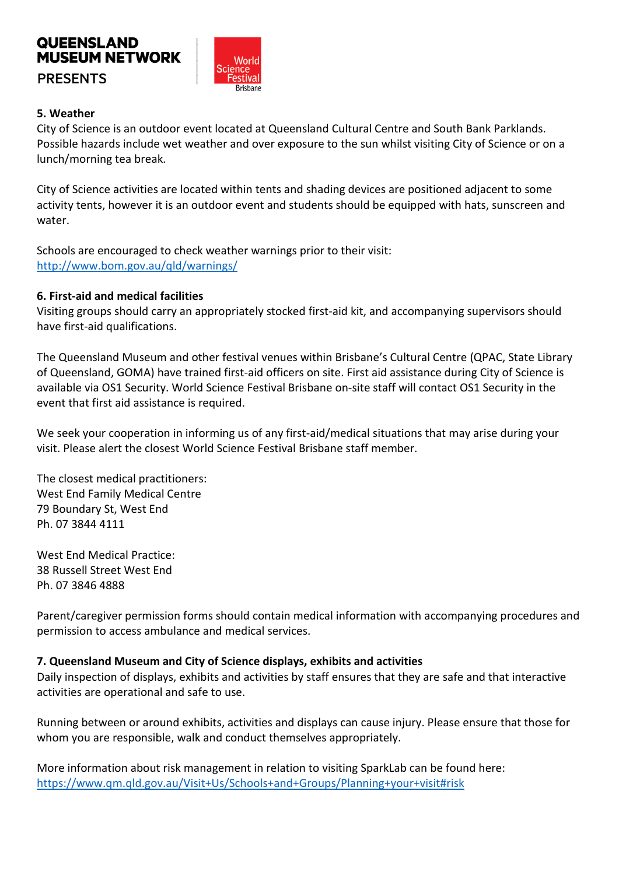

## **5. Weather**

City of Science is an outdoor event located at Queensland Cultural Centre and South Bank Parklands. Possible hazards include wet weather and over exposure to the sun whilst visiting City of Science or on a lunch/morning tea break.

City of Science activities are located within tents and shading devices are positioned adjacent to some activity tents, however it is an outdoor event and students should be equipped with hats, sunscreen and water.

Schools are encouraged to check weather warnings prior to their visit: <http://www.bom.gov.au/qld/warnings/>

## **6. First-aid and medical facilities**

Visiting groups should carry an appropriately stocked first-aid kit, and accompanying supervisors should have first-aid qualifications.

The Queensland Museum and other festival venues within Brisbane's Cultural Centre (QPAC, State Library of Queensland, GOMA) have trained first-aid officers on site. First aid assistance during City of Science is available via OS1 Security. World Science Festival Brisbane on-site staff will contact OS1 Security in the event that first aid assistance is required.

We seek your cooperation in informing us of any first-aid/medical situations that may arise during your visit. Please alert the closest World Science Festival Brisbane staff member.

The closest medical practitioners: West End Family Medical Centre 79 Boundary St, West End Ph. 07 3844 4111

West End Medical Practice: 38 Russell Street West End Ph. 07 3846 4888

Parent/caregiver permission forms should contain medical information with accompanying procedures and permission to access ambulance and medical services.

### **7. Queensland Museum and City of Science displays, exhibits and activities**

Daily inspection of displays, exhibits and activities by staff ensures that they are safe and that interactive activities are operational and safe to use.

Running between or around exhibits, activities and displays can cause injury. Please ensure that those for whom you are responsible, walk and conduct themselves appropriately.

More information about risk management in relation to visiting SparkLab can be found here: <https://www.qm.qld.gov.au/Visit+Us/Schools+and+Groups/Planning+your+visit#risk>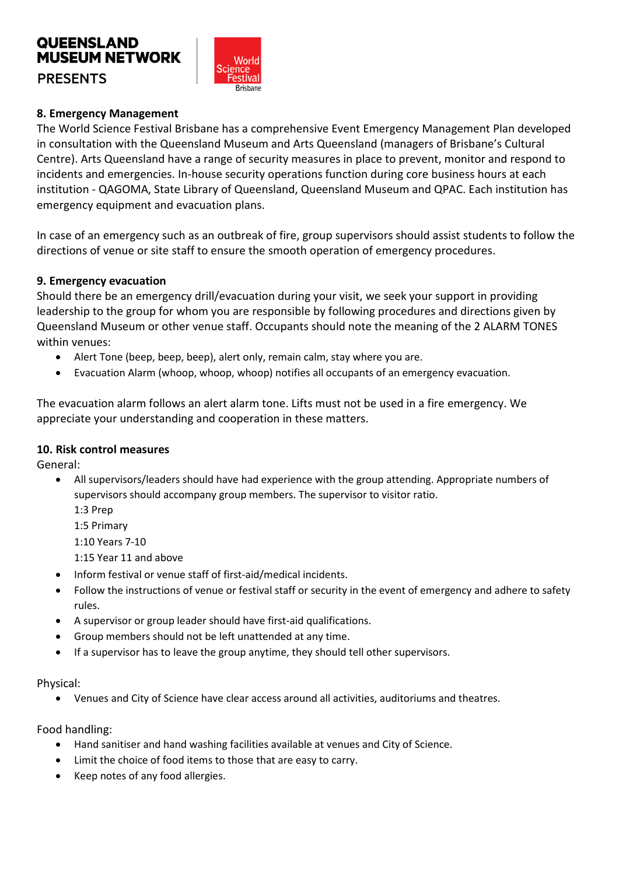

### **8. Emergency Management**

The World Science Festival Brisbane has a comprehensive Event Emergency Management Plan developed in consultation with the Queensland Museum and Arts Queensland (managers of Brisbane's Cultural Centre). Arts Queensland have a range of security measures in place to prevent, monitor and respond to incidents and emergencies. In-house security operations function during core business hours at each institution - QAGOMA, State Library of Queensland, Queensland Museum and QPAC. Each institution has emergency equipment and evacuation plans.

In case of an emergency such as an outbreak of fire, group supervisors should assist students to follow the directions of venue or site staff to ensure the smooth operation of emergency procedures.

### **9. Emergency evacuation**

Should there be an emergency drill/evacuation during your visit, we seek your support in providing leadership to the group for whom you are responsible by following procedures and directions given by Queensland Museum or other venue staff. Occupants should note the meaning of the 2 ALARM TONES within venues:

- Alert Tone (beep, beep, beep), alert only, remain calm, stay where you are.
- Evacuation Alarm (whoop, whoop, whoop) notifies all occupants of an emergency evacuation.

The evacuation alarm follows an alert alarm tone. Lifts must not be used in a fire emergency. We appreciate your understanding and cooperation in these matters.

#### **10. Risk control measures**

General:

- All supervisors/leaders should have had experience with the group attending. Appropriate numbers of supervisors should accompany group members. The supervisor to visitor ratio.
	- 1:3 Prep

1:5 Primary

1:10 Years 7-10

1:15 Year 11 and above

- Inform festival or venue staff of first-aid/medical incidents.
- Follow the instructions of venue or festival staff or security in the event of emergency and adhere to safety rules.
- A supervisor or group leader should have first-aid qualifications.
- Group members should not be left unattended at any time.
- If a supervisor has to leave the group anytime, they should tell other supervisors.

#### Physical:

Venues and City of Science have clear access around all activities, auditoriums and theatres.

Food handling:

- Hand sanitiser and hand washing facilities available at venues and City of Science.
- Limit the choice of food items to those that are easy to carry.
- Keep notes of any food allergies.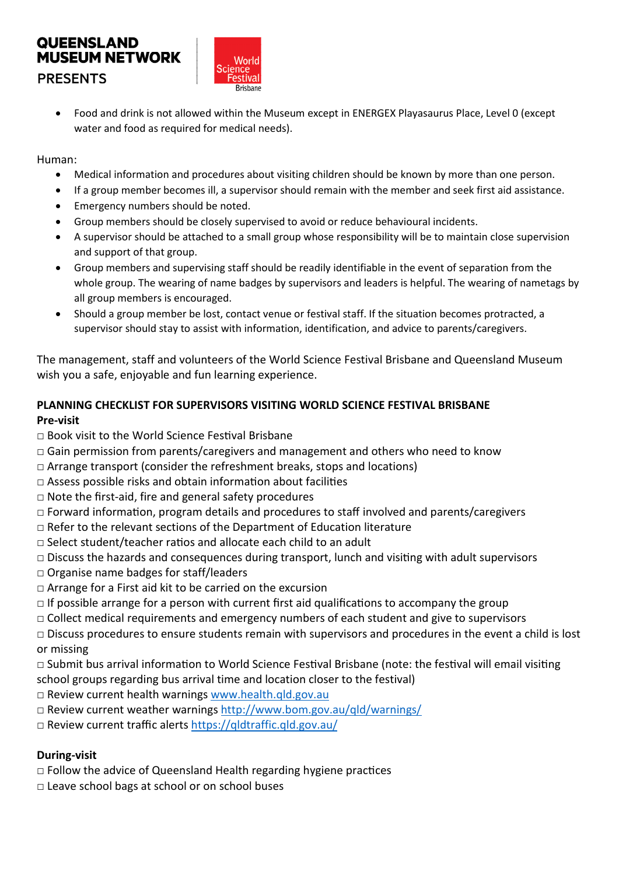

 Food and drink is not allowed within the Museum except in ENERGEX Playasaurus Place, Level 0 (except water and food as required for medical needs).

### Human:

- Medical information and procedures about visiting children should be known by more than one person.
- If a group member becomes ill, a supervisor should remain with the member and seek first aid assistance.
- Emergency numbers should be noted.
- Group members should be closely supervised to avoid or reduce behavioural incidents.
- A supervisor should be attached to a small group whose responsibility will be to maintain close supervision and support of that group.
- Group members and supervising staff should be readily identifiable in the event of separation from the whole group. The wearing of name badges by supervisors and leaders is helpful. The wearing of nametags by all group members is encouraged.
- Should a group member be lost, contact venue or festival staff. If the situation becomes protracted, a supervisor should stay to assist with information, identification, and advice to parents/caregivers.

The management, staff and volunteers of the World Science Festival Brisbane and Queensland Museum wish you a safe, enjoyable and fun learning experience.

## **PLANNING CHECKLIST FOR SUPERVISORS VISITING WORLD SCIENCE FESTIVAL BRISBANE Pre-visit**

- □ Book visit to the World Science Fesfival Brisbane
- $\Box$  Gain permission from parents/caregivers and management and others who need to know
- $\Box$  Arrange transport (consider the refreshment breaks, stops and locations)
- $\square$  Assess possible risks and obtain information about facilities
- □ Note the first-aid, fire and general safety procedures
- $\Box$  Forward information, program details and procedures to staff involved and parents/caregivers
- $\Box$  Refer to the relevant sections of the Department of Education literature
- $\Box$  Select student/teacher ratios and allocate each child to an adult
- $\Box$  Discuss the hazards and consequences during transport, lunch and visiting with adult supervisors
- □ Organise name badges for staff/leaders
- □ Arrange for a First aid kit to be carried on the excursion
- $\Box$  If possible arrange for a person with current first aid qualifications to accompany the group
- □ Collect medical requirements and emergency numbers of each student and give to supervisors
- $\Box$  Discuss procedures to ensure students remain with supervisors and procedures in the event a child is lost or missing
- □ Submit bus arrival informafion to World Science Fesfival Brisbane (note: the fesfival will email visifing school groups regarding bus arrival time and location closer to the festival)
- □ Review current health warnings www.health.qld.gov.au
- □ Review current weather warnings <http://www.bom.gov.au/qld/warnings/>
- □ Review current traffic alerts <https://qldtraffic.qld.gov.au/>

## **During-visit**

- $\Box$  Follow the advice of Queensland Health regarding hygiene practices
- □ Leave school bags at school or on school buses